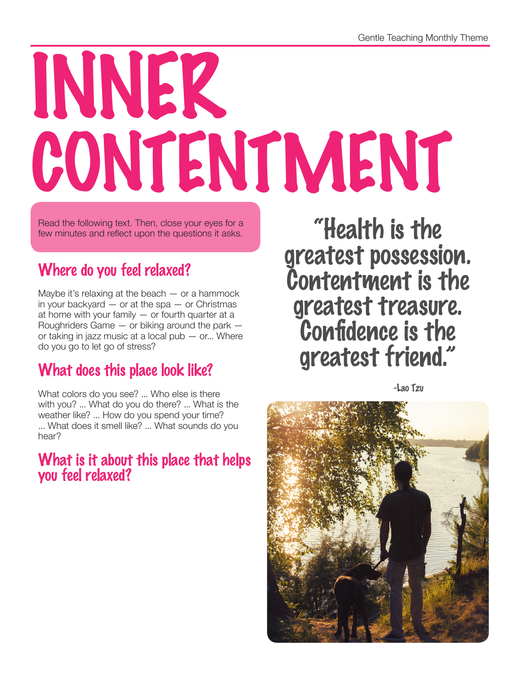## INNER CONTENTMENT

Read the following text. Then, close your eyes for a few minutes and reflect upon the questions it asks.

## Where do you feel relaxed?

Maybe it's relaxing at the beach  $-$  or a hammock in your backyard  $-$  or at the spa  $-$  or Christmas at home with your family  $-$  or fourth quarter at a Roughriders Game  $-$  or biking around the park  $$ or taking in jazz music at a local pub — or... Where do you go to let go of stress?

## What does this place look like?

What colors do you see? ... Who else is there with you? ... What do you do there? ... What is the weather like? ... How do you spend your time? ... What does it smell like? ... What sounds do you hear?

## What is it about this place that helps you feel relaxed?

"Health is the greatest possession. Contentment is the greatest treasure. Confidence is the greatest friend."

-Lao Tzu